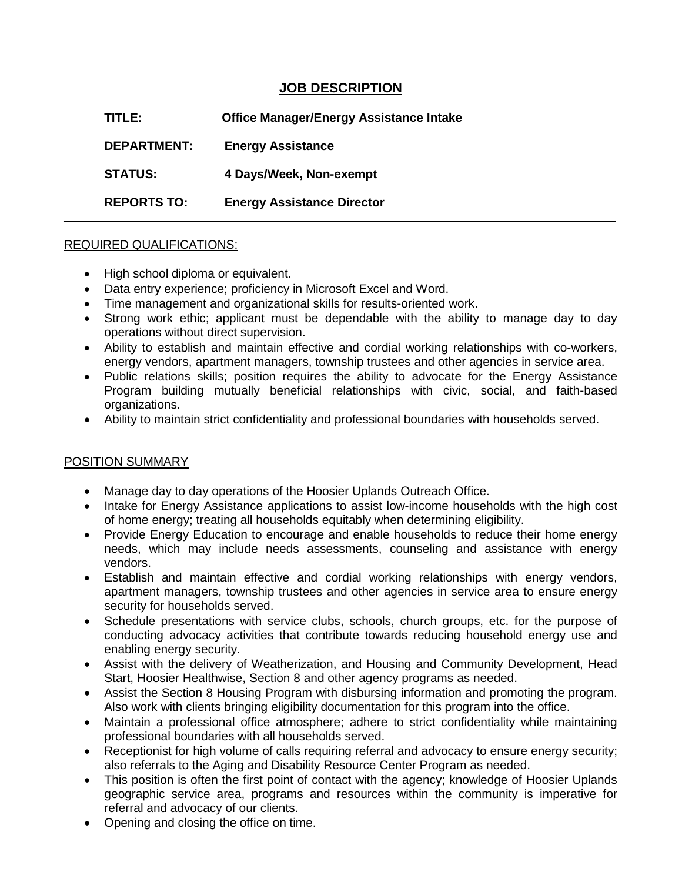## **JOB DESCRIPTION**

**\_\_\_\_\_\_\_\_\_\_\_\_\_\_\_\_\_\_\_\_\_\_\_\_\_\_\_\_\_\_\_\_\_\_\_\_\_\_\_\_\_\_\_\_\_\_\_\_\_\_\_\_\_\_\_\_\_\_\_\_\_\_\_\_\_\_\_\_\_\_\_\_\_\_\_\_\_\_\_\_\_**

**TITLE: Office Manager/Energy Assistance Intake DEPARTMENT: Energy Assistance STATUS: 4 Days/Week, Non-exempt REPORTS TO: Energy Assistance Director**

## REQUIRED QUALIFICATIONS:

- High school diploma or equivalent.
- Data entry experience; proficiency in Microsoft Excel and Word.
- Time management and organizational skills for results-oriented work.
- Strong work ethic; applicant must be dependable with the ability to manage day to day operations without direct supervision.
- Ability to establish and maintain effective and cordial working relationships with co-workers, energy vendors, apartment managers, township trustees and other agencies in service area.
- Public relations skills; position requires the ability to advocate for the Energy Assistance Program building mutually beneficial relationships with civic, social, and faith-based organizations.
- Ability to maintain strict confidentiality and professional boundaries with households served.

## POSITION SUMMARY

- Manage day to day operations of the Hoosier Uplands Outreach Office.
- Intake for Energy Assistance applications to assist low-income households with the high cost of home energy; treating all households equitably when determining eligibility.
- Provide Energy Education to encourage and enable households to reduce their home energy needs, which may include needs assessments, counseling and assistance with energy vendors.
- Establish and maintain effective and cordial working relationships with energy vendors, apartment managers, township trustees and other agencies in service area to ensure energy security for households served.
- Schedule presentations with service clubs, schools, church groups, etc. for the purpose of conducting advocacy activities that contribute towards reducing household energy use and enabling energy security.
- Assist with the delivery of Weatherization, and Housing and Community Development, Head Start, Hoosier Healthwise, Section 8 and other agency programs as needed.
- Assist the Section 8 Housing Program with disbursing information and promoting the program. Also work with clients bringing eligibility documentation for this program into the office.
- Maintain a professional office atmosphere; adhere to strict confidentiality while maintaining professional boundaries with all households served.
- Receptionist for high volume of calls requiring referral and advocacy to ensure energy security; also referrals to the Aging and Disability Resource Center Program as needed.
- This position is often the first point of contact with the agency; knowledge of Hoosier Uplands geographic service area, programs and resources within the community is imperative for referral and advocacy of our clients.
- Opening and closing the office on time.